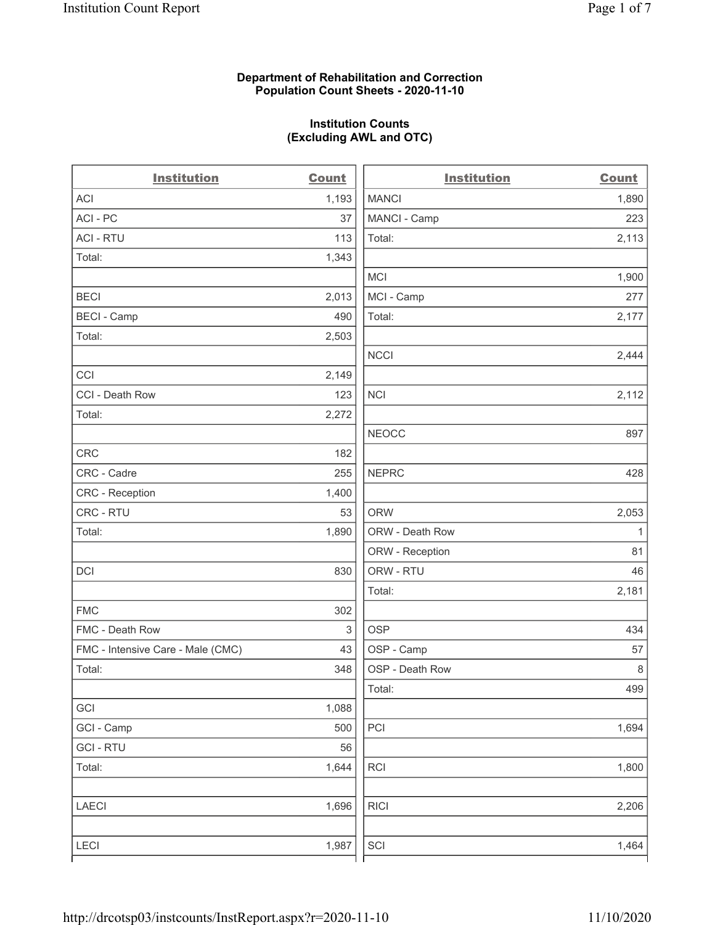## Department of Rehabilitation and Correction Population Count Sheets - 2020-11-10

## Institution Counts (Excluding AWL and OTC)

| <b>Institution</b>                | <b>Count</b> | <b>Institution</b> | <b>Count</b> |
|-----------------------------------|--------------|--------------------|--------------|
| <b>ACI</b>                        | 1,193        | <b>MANCI</b>       | 1,890        |
| ACI-PC                            | 37           | MANCI - Camp       | 223          |
| <b>ACI - RTU</b>                  | 113          | Total:             | 2,113        |
| Total:                            | 1,343        |                    |              |
|                                   |              | MCI                | 1,900        |
| <b>BECI</b>                       | 2,013        | MCI - Camp         | 277          |
| <b>BECI - Camp</b>                | 490          | Total:             | 2,177        |
| Total:                            | 2,503        |                    |              |
|                                   |              | <b>NCCI</b>        | 2,444        |
| CCI                               | 2,149        |                    |              |
| CCI - Death Row                   | 123          | <b>NCI</b>         | 2,112        |
| Total:                            | 2,272        |                    |              |
|                                   |              | <b>NEOCC</b>       | 897          |
| <b>CRC</b>                        | 182          |                    |              |
| CRC - Cadre                       | 255          | <b>NEPRC</b>       | 428          |
| CRC - Reception                   | 1,400        |                    |              |
| CRC - RTU                         | 53           | <b>ORW</b>         | 2,053        |
| Total:                            | 1,890        | ORW - Death Row    | 1            |
|                                   |              | ORW - Reception    | 81           |
| <b>DCI</b>                        | 830          | ORW - RTU          | 46           |
|                                   |              | Total:             | 2,181        |
| <b>FMC</b>                        | 302          |                    |              |
| FMC - Death Row                   | 3            | <b>OSP</b>         | 434          |
| FMC - Intensive Care - Male (CMC) | 43           | OSP - Camp         | 57           |
| Total:                            | 348          | OSP - Death Row    | 8            |
|                                   |              | Total:             | 499          |
| GCI                               | 1,088        |                    |              |
| GCI - Camp                        | 500          | PCI                | 1,694        |
| <b>GCI-RTU</b>                    | 56           |                    |              |
| Total:                            | 1,644        | RCI                | 1,800        |
| <b>LAECI</b>                      | 1,696        | <b>RICI</b>        | 2,206        |
| <b>LECI</b>                       | 1,987        | SCI                | 1,464        |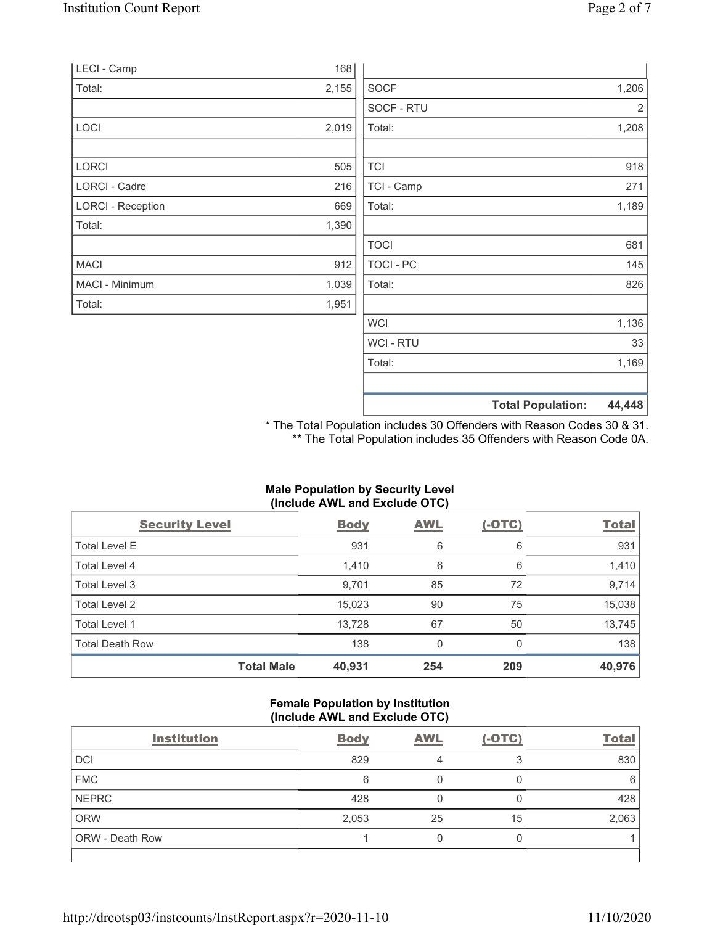|       | <b>Total Population:</b> | 44,448                              |
|-------|--------------------------|-------------------------------------|
|       |                          |                                     |
|       | Total:                   | 1,169                               |
|       | <b>WCI-RTU</b>           | 33                                  |
|       | <b>WCI</b>               | 1,136                               |
| 1,951 |                          |                                     |
| 1,039 | Total:                   | 826                                 |
| 912   | <b>TOCI - PC</b>         | 145                                 |
|       | <b>TOCI</b>              | 681                                 |
| 1,390 |                          |                                     |
| 669   | Total:                   | 1,189                               |
| 216   | TCI - Camp               | 271                                 |
| 505   | <b>TCI</b>               | 918                                 |
|       |                          | 1,208                               |
|       |                          | 2                                   |
|       |                          | 1,206                               |
|       |                          |                                     |
|       | 168<br>2,155<br>2,019    | <b>SOCF</b><br>SOCF - RTU<br>Total: |

\* The Total Population includes 30 Offenders with Reason Codes 30 & 31. \*\* The Total Population includes 35 Offenders with Reason Code 0A.

## Male Population by Security Level (Include AWL and Exclude OTC)

| <b>Security Level</b>  |                   | <b>Body</b> | <b>AWL</b> | $(-OTC)$ | <b>Total</b> |
|------------------------|-------------------|-------------|------------|----------|--------------|
| <b>Total Level E</b>   |                   | 931         | 6          | 6        | 931          |
| Total Level 4          |                   | 1,410       | 6          | 6        | 1,410        |
| Total Level 3          |                   | 9,701       | 85         | 72       | 9,714        |
| Total Level 2          |                   | 15,023      | 90         | 75       | 15,038       |
| Total Level 1          |                   | 13,728      | 67         | 50       | 13,745       |
| <b>Total Death Row</b> |                   | 138         | 0          | $\Omega$ | 138          |
|                        | <b>Total Male</b> | 40,931      | 254        | 209      | 40,976       |

#### Female Population by Institution (Include AWL and Exclude OTC)

| <b>Institution</b>     | <b>Body</b> | <b>AWL</b> | $(-OTC)$ | <b>Total</b> |
|------------------------|-------------|------------|----------|--------------|
| <b>DCI</b>             | 829         |            | ॽ        | 830          |
| <b>FMC</b>             | 6           |            |          | 6            |
| <b>NEPRC</b>           | 428         |            |          | 428          |
| <b>ORW</b>             | 2,053       | 25         | 15       | 2,063        |
| <b>ORW</b> - Death Row |             |            |          |              |
|                        |             |            |          |              |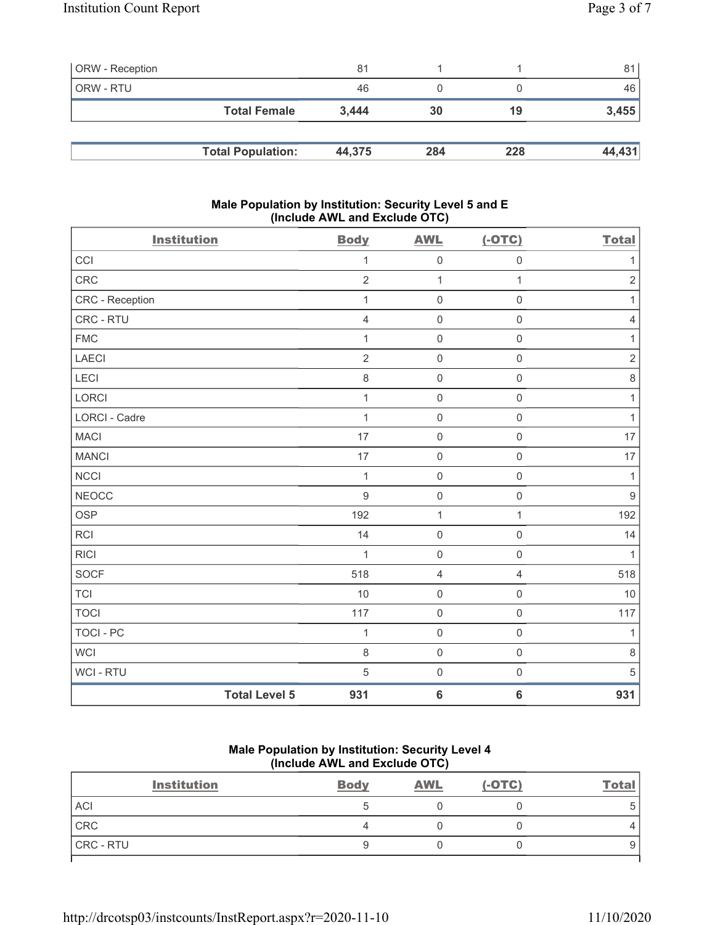| <b>ORW</b> - Reception |                          | 81     |     |     | 81     |
|------------------------|--------------------------|--------|-----|-----|--------|
| ORW - RTU              |                          | 46     |     |     | 46     |
|                        | <b>Total Female</b>      | 3.444  | 30  | 19  | 3,455  |
|                        |                          |        |     |     |        |
|                        | <b>Total Population:</b> | 44,375 | 284 | 228 | 44,431 |

### Male Population by Institution: Security Level 5 and E (Include AWL and Exclude OTC)

| <b>Institution</b>   |                      | <b>Body</b>    | <b>AWL</b>          | $(-OTC)$            | <b>Total</b>     |
|----------------------|----------------------|----------------|---------------------|---------------------|------------------|
| CCI                  |                      | 1              | $\mathsf{O}\xspace$ | $\mathsf{O}\xspace$ | 1                |
| CRC                  |                      | $\overline{2}$ | $\mathbf{1}$        | $\mathbf{1}$        | $\overline{2}$   |
| CRC - Reception      |                      | 1              | $\mathbf 0$         | $\mathbf 0$         | $\mathbf{1}$     |
| CRC - RTU            |                      | $\overline{4}$ | $\mathsf 0$         | $\mathbf 0$         | $\sqrt{4}$       |
| <b>FMC</b>           |                      | 1              | $\mathsf{O}\xspace$ | $\mathsf{O}\xspace$ | $\mathbf{1}$     |
| LAECI                |                      | $\overline{2}$ | $\mathsf 0$         | $\mathsf 0$         | $\sqrt{2}$       |
| LECI                 |                      | $\,8\,$        | $\mathsf{O}\xspace$ | $\mathsf{O}\xspace$ | $\,8\,$          |
| LORCI                |                      | 1              | $\mathsf 0$         | $\mathsf 0$         | $\mathbf{1}$     |
| <b>LORCI - Cadre</b> |                      | $\mathbf{1}$   | $\mathsf 0$         | $\mathsf 0$         | $\mathbf{1}$     |
| <b>MACI</b>          |                      | 17             | $\mathbf 0$         | $\mathsf{O}\xspace$ | 17               |
| <b>MANCI</b>         |                      | 17             | $\mathsf{O}\xspace$ | $\mathsf 0$         | 17               |
| <b>NCCI</b>          |                      | $\mathbf{1}$   | $\mathbf 0$         | $\mathbf 0$         | $\mathbf{1}$     |
| <b>NEOCC</b>         |                      | $9\,$          | $\mathsf 0$         | $\mathsf 0$         | $\boldsymbol{9}$ |
| <b>OSP</b>           |                      | 192            | $\mathbf 1$         | 1                   | 192              |
| <b>RCI</b>           |                      | 14             | $\mathsf{O}\xspace$ | $\mathsf 0$         | 14               |
| <b>RICI</b>          |                      | 1              | $\mathbf 0$         | $\mathbf 0$         | $\mathbf{1}$     |
| <b>SOCF</b>          |                      | 518            | $\overline{4}$      | $\overline{4}$      | 518              |
| <b>TCI</b>           |                      | 10             | $\mathsf 0$         | $\mathsf{O}\xspace$ | 10               |
| <b>TOCI</b>          |                      | 117            | $\mathsf 0$         | $\mathsf{O}\xspace$ | 117              |
| TOCI - PC            |                      | $\mathbf{1}$   | $\mathsf{O}\xspace$ | $\mathsf{O}\xspace$ | $\mathbf{1}$     |
| <b>WCI</b>           |                      | $\,8\,$        | $\mathsf 0$         | $\mathsf{O}\xspace$ | $\,8\,$          |
| WCI - RTU            |                      | $\overline{5}$ | $\mathsf{O}\xspace$ | $\mathsf{O}\xspace$ | 5                |
|                      | <b>Total Level 5</b> | 931            | $\bf 6$             | $\bf 6$             | 931              |

#### Male Population by Institution: Security Level 4 (Include AWL and Exclude OTC)

| <b>Institution</b> | <b>Body</b> | <b>AWL</b> | $(-OTC)$ | <b>Total</b> |
|--------------------|-------------|------------|----------|--------------|
| <b>ACI</b>         |             |            |          |              |
| CRC                |             |            |          |              |
| CRC - RTU          |             |            |          |              |
|                    |             |            |          |              |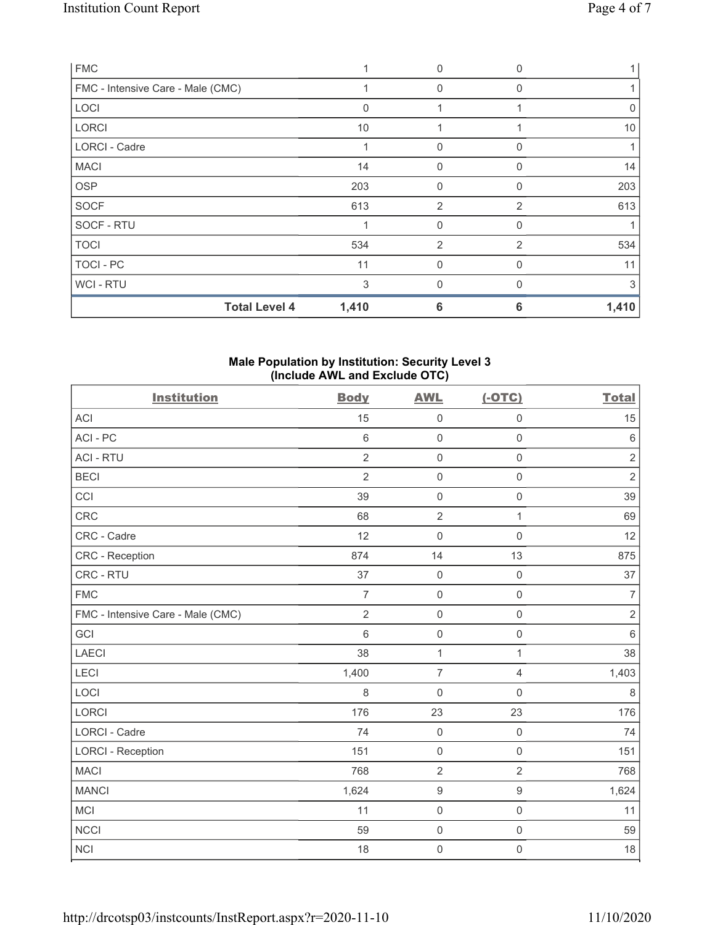| <b>FMC</b>                        |          | $\Omega$       |          |       |
|-----------------------------------|----------|----------------|----------|-------|
| FMC - Intensive Care - Male (CMC) |          | 0              | 0        |       |
| LOCI                              | $\Omega$ |                |          | 0     |
| <b>LORCI</b>                      | 10       |                |          | 10    |
| <b>LORCI - Cadre</b>              |          | 0              | O        |       |
| <b>MACI</b>                       | 14       | $\Omega$       | U        | 14    |
| <b>OSP</b>                        | 203      | $\Omega$       | 0        | 203   |
| <b>SOCF</b>                       | 613      | $\overline{2}$ | 2        | 613   |
| SOCF - RTU                        |          | $\mathbf{0}$   | 0        |       |
| <b>TOCI</b>                       | 534      | 2              | 2        | 534   |
| TOCI - PC                         | 11       | $\mathbf{0}$   | O        | 11    |
| WCI - RTU                         | 3        | $\mathbf{0}$   | $\Omega$ | 3     |
| <b>Total Level 4</b>              | 1,410    | 6              | 6        | 1,410 |

## Male Population by Institution: Security Level 3 (Include AWL and Exclude OTC)

| <b>Institution</b>                | <b>Body</b>    | <b>AWL</b>          | $(-OTC)$            | <b>Total</b>   |
|-----------------------------------|----------------|---------------------|---------------------|----------------|
| <b>ACI</b>                        | 15             | $\mathsf 0$         | $\mathbf 0$         | 15             |
| ACI-PC                            | $\,6\,$        | $\mathsf 0$         | $\mathbf 0$         | $\,6\,$        |
| <b>ACI - RTU</b>                  | $\overline{2}$ | $\mathsf 0$         | $\mathbf 0$         | $\sqrt{2}$     |
| <b>BECI</b>                       | $\overline{2}$ | $\mathsf 0$         | $\mathsf{O}\xspace$ | $\sqrt{2}$     |
| CCI                               | 39             | $\mathsf 0$         | $\mathsf{O}\xspace$ | 39             |
| <b>CRC</b>                        | 68             | $\overline{2}$      | $\mathbf{1}$        | 69             |
| CRC - Cadre                       | 12             | $\mathsf{O}\xspace$ | $\mathsf 0$         | 12             |
| <b>CRC</b> - Reception            | 874            | 14                  | 13                  | 875            |
| CRC - RTU                         | 37             | $\mathsf 0$         | $\mathbf 0$         | 37             |
| <b>FMC</b>                        | $\overline{7}$ | $\mathbf 0$         | $\mathbf 0$         | $\overline{7}$ |
| FMC - Intensive Care - Male (CMC) | $\overline{2}$ | $\mathsf 0$         | $\mathbf 0$         | $\sqrt{2}$     |
| GCI                               | 6              | $\mathsf{O}\xspace$ | $\mathsf 0$         | $\,6\,$        |
| <b>LAECI</b>                      | 38             | $\mathbf{1}$        | 1                   | 38             |
| LECI                              | 1,400          | $\overline{7}$      | 4                   | 1,403          |
| LOCI                              | 8              | $\mathbf 0$         | $\mathsf 0$         | 8              |
| <b>LORCI</b>                      | 176            | 23                  | 23                  | 176            |
| <b>LORCI - Cadre</b>              | 74             | $\mathsf{O}\xspace$ | $\mathsf{O}\xspace$ | 74             |
| <b>LORCI - Reception</b>          | 151            | $\mathsf 0$         | $\mathsf{O}\xspace$ | 151            |
| <b>MACI</b>                       | 768            | $\overline{2}$      | $\overline{2}$      | 768            |
| <b>MANCI</b>                      | 1,624          | $\boldsymbol{9}$    | $\boldsymbol{9}$    | 1,624          |
| <b>MCI</b>                        | 11             | $\mathsf 0$         | $\mathsf{O}\xspace$ | 11             |
| <b>NCCI</b>                       | 59             | $\mathsf{O}\xspace$ | $\mathsf{O}\xspace$ | 59             |
| <b>NCI</b>                        | 18             | $\mathbf 0$         | $\mathsf{O}\xspace$ | 18             |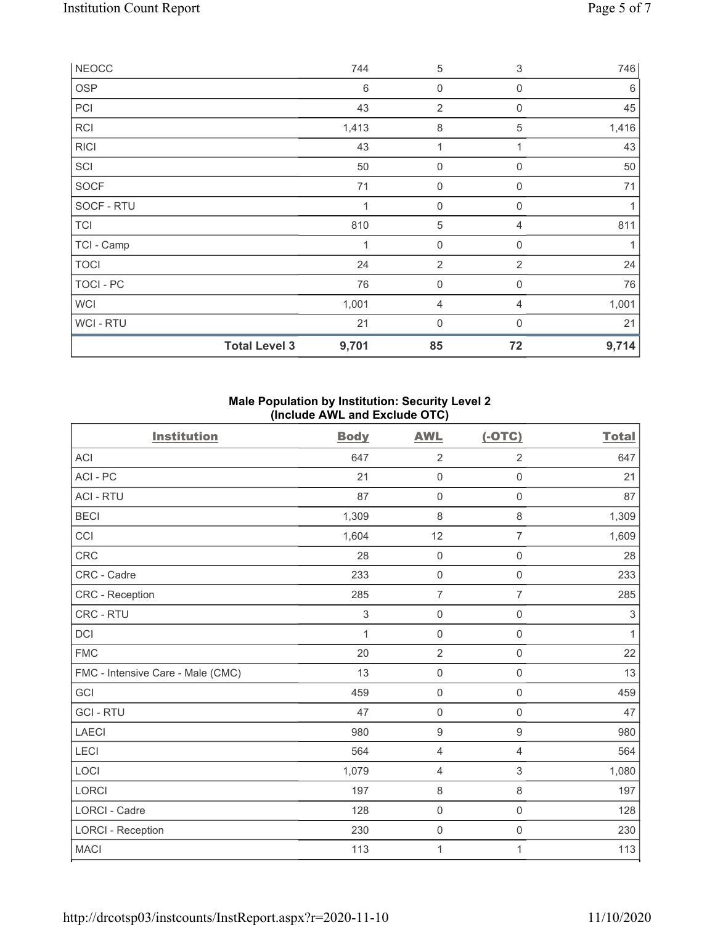| <b>NEOCC</b>   |                      | 744   | 5                   | $\ensuremath{\mathsf{3}}$ | 746   |
|----------------|----------------------|-------|---------------------|---------------------------|-------|
| <b>OSP</b>     |                      | 6     | $\boldsymbol{0}$    | $\mathbf 0$               | 6     |
| PCI            |                      | 43    | 2                   | 0                         | 45    |
| <b>RCI</b>     |                      | 1,413 | $\,8\,$             | 5                         | 1,416 |
| <b>RICI</b>    |                      | 43    | 1                   |                           | 43    |
| SCI            |                      | 50    | $\boldsymbol{0}$    | $\mathbf 0$               | 50    |
| <b>SOCF</b>    |                      | 71    | $\mathsf{O}\xspace$ | 0                         | 71    |
| SOCF - RTU     |                      | 1     | $\boldsymbol{0}$    | $\mathbf 0$               | 1     |
| <b>TCI</b>     |                      | 810   | $\sqrt{5}$          | 4                         | 811   |
| TCI - Camp     |                      | 1     | $\mathbf 0$         | $\boldsymbol{0}$          | 1     |
| <b>TOCI</b>    |                      | 24    | $\overline{2}$      | 2                         | 24    |
| TOCI - PC      |                      | 76    | $\mathbf 0$         | $\mathbf 0$               | 76    |
| <b>WCI</b>     |                      | 1,001 | 4                   | 4                         | 1,001 |
| <b>WCI-RTU</b> |                      | 21    | $\mathbf 0$         | $\Omega$                  | 21    |
|                | <b>Total Level 3</b> | 9,701 | 85                  | 72                        | 9,714 |

## Male Population by Institution: Security Level 2 (Include AWL and Exclude OTC)

| <b>Institution</b>                | <b>Body</b> | <b>AWL</b>          | $(-OTC)$            | <b>Total</b> |
|-----------------------------------|-------------|---------------------|---------------------|--------------|
| ACI                               | 647         | $\overline{2}$      | $\overline{2}$      | 647          |
| ACI-PC                            | 21          | $\mathbf 0$         | $\mathbf 0$         | 21           |
| <b>ACI - RTU</b>                  | 87          | $\mathbf 0$         | $\mathsf{O}\xspace$ | 87           |
| <b>BECI</b>                       | 1,309       | $\,8\,$             | 8                   | 1,309        |
| CCI                               | 1,604       | 12                  | $\overline{7}$      | 1,609        |
| <b>CRC</b>                        | 28          | $\mathbf 0$         | $\mathbf 0$         | 28           |
| CRC - Cadre                       | 233         | $\mathbf 0$         | $\mathbf 0$         | 233          |
| <b>CRC</b> - Reception            | 285         | $\overline{7}$      | $\overline{7}$      | 285          |
| CRC - RTU                         | 3           | $\mathsf{O}\xspace$ | $\mathsf{O}\xspace$ | $\sqrt{3}$   |
| <b>DCI</b>                        | 1           | $\mathbf 0$         | $\mathsf{O}\xspace$ | 1            |
| <b>FMC</b>                        | 20          | $\overline{2}$      | $\mathsf{O}\xspace$ | 22           |
| FMC - Intensive Care - Male (CMC) | 13          | $\mathsf{O}\xspace$ | $\mathbf 0$         | 13           |
| GCI                               | 459         | $\mathbf 0$         | $\mathbf 0$         | 459          |
| <b>GCI-RTU</b>                    | 47          | $\mathbf 0$         | $\mathsf 0$         | 47           |
| <b>LAECI</b>                      | 980         | $\boldsymbol{9}$    | $\boldsymbol{9}$    | 980          |
| <b>LECI</b>                       | 564         | 4                   | 4                   | 564          |
| LOCI                              | 1,079       | $\overline{4}$      | 3                   | 1,080        |
| LORCI                             | 197         | 8                   | $\,8\,$             | 197          |
| <b>LORCI - Cadre</b>              | 128         | $\mathsf{O}\xspace$ | $\mathbf 0$         | 128          |
| <b>LORCI - Reception</b>          | 230         | $\mathsf{O}\xspace$ | $\mathsf{O}\xspace$ | 230          |
| <b>MACI</b>                       | 113         | 1                   | 1                   | 113          |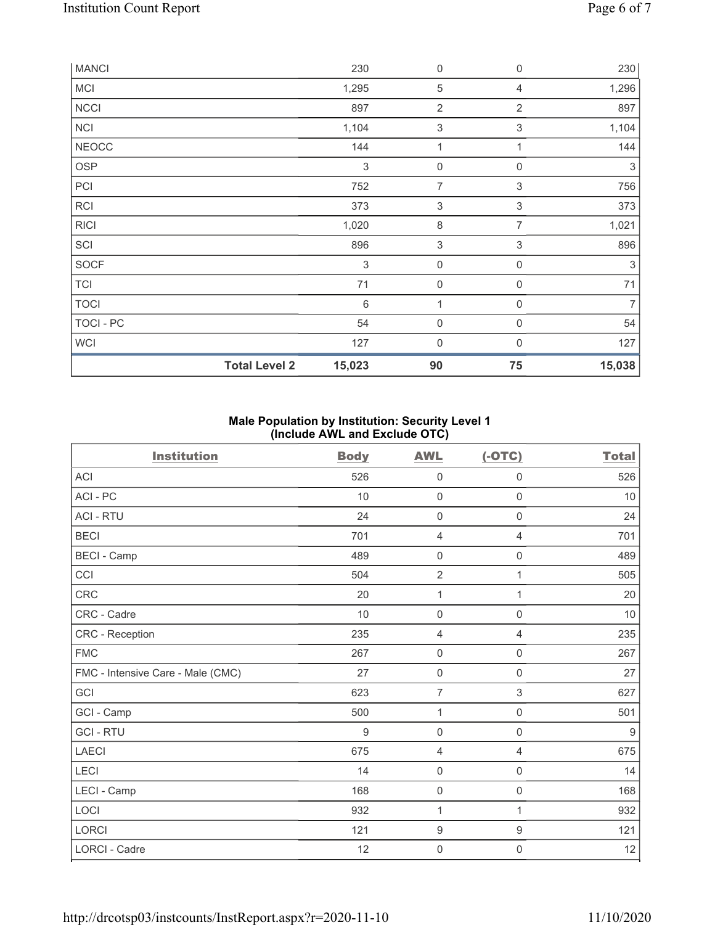| <b>MANCI</b> |                      | 230                       | $\boldsymbol{0}$ | 0              | 230            |
|--------------|----------------------|---------------------------|------------------|----------------|----------------|
| MCI          |                      | 1,295                     | $\mathbf 5$      | 4              | 1,296          |
| <b>NCCI</b>  |                      | 897                       | $\overline{2}$   | $\overline{2}$ | 897            |
| <b>NCI</b>   |                      | 1,104                     | 3                | $\sqrt{3}$     | 1,104          |
| <b>NEOCC</b> |                      | 144                       | 1                | $\mathbf{1}$   | 144            |
| <b>OSP</b>   |                      | 3                         | $\mathbf 0$      | 0              | $\sqrt{3}$     |
| PCI          |                      | 752                       | 7                | 3              | 756            |
| <b>RCI</b>   |                      | 373                       | $\,$ 3 $\,$      | $\mathfrak{S}$ | 373            |
| <b>RICI</b>  |                      | 1,020                     | 8                | 7              | 1,021          |
| SCI          |                      | 896                       | 3                | 3              | 896            |
| <b>SOCF</b>  |                      | $\ensuremath{\mathsf{3}}$ | $\mathbf 0$      | 0              | $\sqrt{3}$     |
| <b>TCI</b>   |                      | 71                        | $\mathbf 0$      | $\mathbf 0$    | 71             |
| <b>TOCI</b>  |                      | $\,6\,$                   | 1                | 0              | $\overline{7}$ |
| TOCI - PC    |                      | 54                        | $\boldsymbol{0}$ | $\mathbf 0$    | 54             |
| <b>WCI</b>   |                      | 127                       | 0                | $\mathbf{0}$   | 127            |
|              | <b>Total Level 2</b> | 15,023                    | 90               | 75             | 15,038         |

# Male Population by Institution: Security Level 1 (Include AWL and Exclude OTC)

| <b>Institution</b>                | <b>Body</b> | <b>AWL</b>          | $(-OTC)$            | <b>Total</b>     |
|-----------------------------------|-------------|---------------------|---------------------|------------------|
| <b>ACI</b>                        | 526         | $\mathbf 0$         | $\mathbf 0$         | 526              |
| ACI - PC                          | 10          | $\mathsf{O}\xspace$ | $\mathsf 0$         | 10               |
| <b>ACI - RTU</b>                  | 24          | $\mathbf 0$         | $\mathbf 0$         | 24               |
| <b>BECI</b>                       | 701         | $\overline{4}$      | $\overline{4}$      | 701              |
| <b>BECI - Camp</b>                | 489         | $\mathbf 0$         | $\mathbf 0$         | 489              |
| CCI                               | 504         | $\sqrt{2}$          | 1                   | 505              |
| CRC                               | 20          | 1                   | 1                   | $20\,$           |
| CRC - Cadre                       | 10          | $\mathbf 0$         | $\mathbf 0$         | 10               |
| <b>CRC</b> - Reception            | 235         | $\overline{4}$      | $\overline{4}$      | 235              |
| <b>FMC</b>                        | 267         | $\mathbf 0$         | $\mathbf 0$         | 267              |
| FMC - Intensive Care - Male (CMC) | 27          | $\mathsf{O}\xspace$ | $\mathsf 0$         | 27               |
| GCI                               | 623         | $\overline{7}$      | $\,$ 3 $\,$         | 627              |
| GCI - Camp                        | 500         | 1                   | $\mathbf 0$         | 501              |
| <b>GCI-RTU</b>                    | 9           | $\mathbf 0$         | $\mathbf 0$         | $\boldsymbol{9}$ |
| LAECI                             | 675         | $\overline{4}$      | $\overline{4}$      | 675              |
| LECI                              | 14          | $\mathbf 0$         | $\mathbf 0$         | 14               |
| LECI - Camp                       | 168         | $\mathbf 0$         | $\mathbf 0$         | 168              |
| LOCI                              | 932         | 1                   | 1                   | 932              |
| <b>LORCI</b>                      | 121         | $\boldsymbol{9}$    | $\boldsymbol{9}$    | 121              |
| <b>LORCI - Cadre</b>              | 12          | $\mathbf 0$         | $\mathsf{O}\xspace$ | 12               |